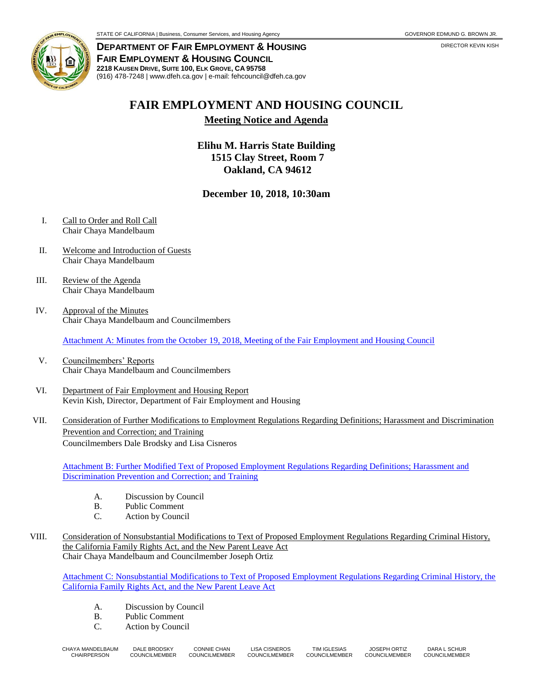

**DEPARTMENT OF FAIR EMPLOYMENT & HOUSING FAIR EMPLOYMENT & HOUSING COUNCIL 2218 KAUSEN DRIVE, SUITE 100, ELK GROVE, CA 95758** (916) 478-7248 | www.dfeh.ca.gov | e-mail: fehcouncil@dfeh.ca.gov

## **FAIR EMPLOYMENT AND HOUSING COUNCIL**

**Meeting Notice and Agenda**

**Elihu M. Harris State Building 1515 Clay Street, Room 7 Oakland, CA 94612**

## **December 10, 2018, 10:30am**

- I. Call to Order and Roll Call Chair Chaya Mandelbaum
- II. Welcome and Introduction of Guests Chair Chaya Mandelbaum
- III. Review of the Agenda Chair Chaya Mandelbaum
- IV. Approval of the Minutes Chair Chaya Mandelbaum and Councilmembers

[Attachment A: Minutes from the October 19, 2018, Meeting of the Fair Employment and Housing Council](https://www.dfeh.ca.gov/wp-content/uploads/sites/32/2018/11/AttachA-FEHCouncilMinutes2018Oct19.pdf)

- V. Councilmembers' Reports Chair Chaya Mandelbaum and Councilmembers
- VI. Department of Fair Employment and Housing Report Kevin Kish, Director, Department of Fair Employment and Housing
- VII. Consideration of Further Modifications to Employment Regulations Regarding Definitions; Harassment and Discrimination Prevention and Correction; and Training Councilmembers Dale Brodsky and Lisa Cisneros

[Attachment B: Further Modified Text of Proposed Employment Regulations Regarding Definitions; Harassment and](https://www.dfeh.ca.gov/wp-content/uploads/sites/32/2018/11/AttachB-FurtherModText-EmploymentRegDefinitionsHarassmentDiscriminationPreventionCorrectionTraining.pdf)  [Discrimination Prevention and Correction; and Training](https://www.dfeh.ca.gov/wp-content/uploads/sites/32/2018/11/AttachB-FurtherModText-EmploymentRegDefinitionsHarassmentDiscriminationPreventionCorrectionTraining.pdf)

- A. Discussion by Council
- B. Public Comment
- C. Action by Council
- VIII. Consideration of Nonsubstantial Modifications to Text of Proposed Employment Regulations Regarding Criminal History, the California Family Rights Act, and the New Parent Leave Act Chair Chaya Mandelbaum and Councilmember Joseph Ortiz

Attachment C: Nonsubstantial [Modifications to Text of Proposed Employment Regulations Regarding Criminal History, the](https://www.dfeh.ca.gov/wp-content/uploads/sites/32/2018/11/AttachC-NonsubstantialModEmploymentRegCriminalHistory-CFRA-NewPLA.pdf)  [California Family Rights Act, and the New Parent Leave Act](https://www.dfeh.ca.gov/wp-content/uploads/sites/32/2018/11/AttachC-NonsubstantialModEmploymentRegCriminalHistory-CFRA-NewPLA.pdf)

- A. Discussion by Council
- B. Public Comment
- C. Action by Council

| CHAYA MANDELBAUM | DALE BRODSKY  | <b>CONNIE CHAN</b>   | LISA CISNEROS | TIM IGLESIAS         | <b>JOSEPH ORTIZ</b> | DARA L SCHUR  |
|------------------|---------------|----------------------|---------------|----------------------|---------------------|---------------|
| CHAIRPERSON      | COUNCILMEMBER | <b>COUNCILMEMBER</b> | COUNCILMEMBER | <b>COUNCILMEMBER</b> | COUNCILMEMBER       | COUNCILMEMBER |